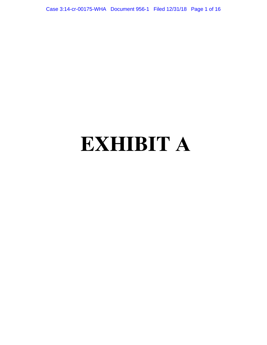Case 3:14-cr-00175-WHA Document 956-1 Filed 12/31/18 Page 1 of 16

# **EXHIBIT A**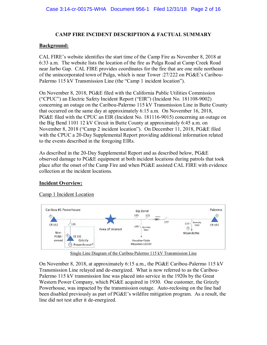#### **CAMP FIRE INCIDENT DESCRIPTION & FACTUAL SUMMARY**

#### **Background:**

CAL FIRE's website identifies the start time of the Camp Fire as November 8, 2018 at 6:33 a.m. The website lists the location of the fire as Pulga Road at Camp Creek Road near Jarbo Gap. CAL FIRE provides coordinates for the fire that are one mile northeast of the unincorporated town of Pulga, which is near Tower :27/222 on PG&E's Caribou-Palermo 115 kV Transmission Line (the "Camp 1 incident location").

On November 8, 2018, PG&E filed with the California Public Utilities Commission ("CPUC") an Electric Safety Incident Report ("EIR") (Incident No. 181108-9002) concerning an outage on the Caribou-Palermo 115 kV Transmission Line in Butte County that occurred on the same day at approximately 6:15 a.m. On November 16, 2018, PG&E filed with the CPUC an EIR (Incident No. 181116-9015) concerning an outage on the Big Bend 1101 12 kV Circuit in Butte County at approximately 6:45 a.m. on November 8, 2018 ("Camp 2 incident location"). On December 11, 2018, PG&E filed with the CPUC a 20-Day Supplemental Report providing additional information related to the events described in the foregoing EIRs.

As described in the 20-Day Supplemental Report and as described below, PG&E observed damage to PG&E equipment at both incident locations during patrols that took place after the onset of the Camp Fire and when PG&E assisted CAL FIRE with evidence collection at the incident locations.

### **Incident Overview:**

#### Camp 1 Incident Location



Single Line Diagram of the Caribou-Palermo 115 kV Transmission Line

On November 8, 2018, at approximately 6:15 a.m., the PG&E Caribou-Palermo 115 kV Transmission Line relayed and de-energized. What is now referred to as the Caribou-Palermo 115 kV transmission line was placed into service in the 1920s by the Great Western Power Company, which PG&E acquired in 1930. One customer, the Grizzly Powerhouse, was impacted by the transmission outage. Auto-reclosing on the line had been disabled previously as part of PG&E's wildfire mitigation program. As a result, the line did not test after it de-energized.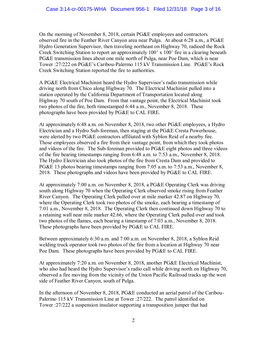On the morning of November 8, 2018, certain PG&E employees and contractors observed fire in the Feather River Canyon area near Pulga. At about 6:28 a.m., a PG&E Hydro Generation Supervisor, then traveling northeast on Highway 70, radioed the Rock Creek Switching Station to report an approximately 100' x 100' fire in a clearing beneath PG&E transmission lines about one mile north of Pulga, near Poe Dam, which is near Tower :27/222 on PG&E's Caribou-Palermo 115 kV Transmission Line. PG&E's Rock Creek Switching Station reported the fire to authorities.

A PG&E Electrical Machinist heard the Hydro Supervisor's radio transmission while driving north from Chico along Highway 70. The Electrical Machinist pulled into a station operated by the California Department of Transportation located along Highway 70 south of Poe Dam. From that vantage point, the Electrical Machinist took two photos of the fire, both timestamped 6:44 a.m., November 8, 2018. These photographs have been provided by PG&E to CAL FIRE.

At approximately 6:48 a.m. on November 8, 2018, two other PG&E employees, a Hydro Electrician and a Hydro Sub-foreman, then staging at the PG&E Cresta Powerhouse, were alerted by two PG&E contractors affiliated with Syblon Reid of a nearby fire. Those employees observed a fire from their vantage point, from which they took photos and videos of the fire. The Sub-foreman provided to PG&E eight photos and three videos of the fire bearing timestamps ranging from 6:48 a.m. to 7:53 a.m., November 8, 2018. The Hydro Electrician also took photos of the fire from Cresta Dam and provided to PG&E 13 photos bearing timestamps ranging from 7:05 a.m. to 7:53 a.m., November 8, 2018. These photographs and videos have been provided by PG&E to CAL FIRE.

At approximately 7:00 a.m. on November 8, 2018, a PG&E Operating Clerk was driving south along Highway 70 when the Operating Clerk observed smoke rising from Feather River Canyon. The Operating Clerk pulled over at mile marker 42.87 on Highway 70, where the Operating Clerk took two photos of the smoke, each bearing a timestamp of 7:01 a.m., November 8, 2018. The Operating Clerk then continued down Highway 70 to a retaining wall near mile marker 42.66, where the Operating Clerk pulled over and took two photos of the flames, each bearing a timestamp of 7:03 a.m., November 8, 2018. These photographs have been provided by PG&E to CAL FIRE.

Between approximately 6:30 a.m. and 7:00 a.m. on November 8, 2018, a Syblon Reid welding truck operator took two photos of the fire from a location at Highway 70 near Poe Dam. These photographs have been provided by PG&E to CAL FIRE.

At approximately 7:20 a.m. on November 8, 2018, another PG&E Electrical Machinist, who also had heard the Hydro Supervisor's radio call while driving north on Highway 70, observed a fire moving from the vicinity of the Union Pacific Railroad tracks up the west side of Feather River Canyon, south of Pulga.

In the afternoon of November 8, 2018, PG&E conducted an aerial patrol of the Caribou-Palermo 115 kV Transmission Line at Tower :27/222. The patrol identified on Tower :27/222 a suspension insulator supporting a transposition jumper that had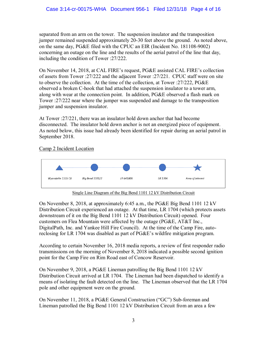separated from an arm on the tower. The suspension insulator and the transposition jumper remained suspended approximately 20-30 feet above the ground. As noted above, on the same day, PG&E filed with the CPUC an EIR (Incident No. 181108-9002) concerning an outage on the line and the results of the aerial patrol of the line that day, including the condition of Tower :27/222.

On November 14, 2018, at CAL FIRE's request, PG&E assisted CAL FIRE's collection of assets from Tower :27/222 and the adjacent Tower :27/221. CPUC staff were on site to observe the collection. At the time of the collection, at Tower :27/222, PG&E observed a broken C-hook that had attached the suspension insulator to a tower arm, along with wear at the connection point. In addition, PG&E observed a flash mark on Tower :27/222 near where the jumper was suspended and damage to the transposition jumper and suspension insulator.

At Tower :27/221, there was an insulator hold down anchor that had become disconnected. The insulator hold down anchor is not an energized piece of equipment. As noted below, this issue had already been identified for repair during an aerial patrol in September 2018.

Camp 2 Incident Location



Single Line Diagram of the Big Bend 1101 12 kV Distribution Circuit

On November 8, 2018, at approximately 6:45 a.m., the PG&E Big Bend 1101 12 kV Distribution Circuit experienced an outage. At that time, LR 1704 (which protects assets downstream of it on the Big Bend 1101 12 kV Distribution Circuit) opened. Four customers on Flea Mountain were affected by the outage (PG&E, AT&T Inc., DigitalPath, Inc. and Yankee Hill Fire Council). At the time of the Camp Fire, autoreclosing for LR 1704 was disabled as part of PG&E's wildfire mitigation program.

According to certain November 16, 2018 media reports, a review of first responder radio transmissions on the morning of November 8, 2018 indicated a possible second ignition point for the Camp Fire on Rim Road east of Concow Reservoir.

On November 9, 2018, a PG&E Lineman patrolling the Big Bend 1101 12 kV Distribution Circuit arrived at LR 1704. The Lineman had been dispatched to identify a means of isolating the fault detected on the line. The Lineman observed that the LR 1704 pole and other equipment were on the ground.

On November 11, 2018, a PG&E General Construction ("GC") Sub-foreman and Lineman patrolled the Big Bend 1101 12 kV Distribution Circuit from an area a few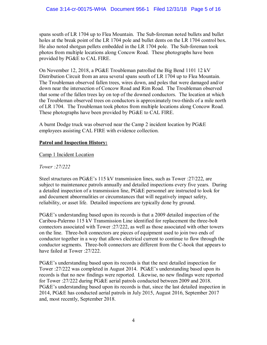spans south of LR 1704 up to Flea Mountain. The Sub-foreman noted bullets and bullet holes at the break point of the LR 1704 pole and bullet dents on the LR 1704 control box. He also noted shotgun pellets embedded in the LR 1704 pole. The Sub-foreman took photos from multiple locations along Concow Road. These photographs have been provided by PG&E to CAL FIRE.

On November 12, 2018, a PG&E Troubleman patrolled the Big Bend 1101 12 kV Distribution Circuit from an area several spans south of LR 1704 up to Flea Mountain. The Troubleman observed fallen trees, wires down, and poles that were damaged and/or down near the intersection of Concow Road and Rim Road. The Troubleman observed that some of the fallen trees lay on top of the downed conductors. The location at which the Troubleman observed trees on conductors is approximately two-thirds of a mile north of LR 1704. The Troubleman took photos from multiple locations along Concow Road. These photographs have been provided by PG&E to CAL FIRE.

A burnt Dodge truck was observed near the Camp 2 incident location by PG&E employees assisting CAL FIRE with evidence collection.

#### **Patrol and Inspection History:**

#### Camp 1 Incident Location

#### *Tower :27/222*

Steel structures on PG&E's 115 kV transmission lines, such as Tower :27/222, are subject to maintenance patrols annually and detailed inspections every five years. During a detailed inspection of a transmission line, PG&E personnel are instructed to look for and document abnormalities or circumstances that will negatively impact safety, reliability, or asset life. Detailed inspections are typically done by ground.

PG&E's understanding based upon its records is that a 2009 detailed inspection of the Caribou-Palermo 115 kV Transmission Line identified for replacement the three-bolt connectors associated with Tower :27/222, as well as those associated with other towers on the line. Three-bolt connectors are pieces of equipment used to join two ends of conductor together in a way that allows electrical current to continue to flow through the conductor segments. Three-bolt connectors are different from the C-hook that appears to have failed at Tower :27/222.

PG&E's understanding based upon its records is that the next detailed inspection for Tower :27/222 was completed in August 2014. PG&E's understanding based upon its records is that no new findings were reported. Likewise, no new findings were reported for Tower :27/222 during PG&E aerial patrols conducted between 2009 and 2018. PG&E's understanding based upon its records is that, since the last detailed inspection in 2014, PG&E has conducted aerial patrols in July 2015, August 2016, September 2017 and, most recently, September 2018.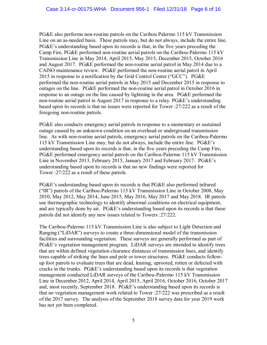PG&E also performs non-routine patrols on the Caribou Palermo 115 kV Transmission Line on an as-needed basis. These patrols may, but do not always, include the entire line. PG&E's understanding based upon its records is that, in the five years preceding the Camp Fire, PG&E performed non-routine aerial patrols on the Caribou-Palermo 115 kV Transmission Line in May 2014, April 2015, May 2015, December 2015, October 2016 and August 2017. PG&E performed the non-routine aerial patrol in May 2014 due to a CAISO maintenance review. PG&E performed the non-routine aerial patrol in April 2015 in response to a notification by the Grid Control Center ("GCC"). PG&E performed the non-routine aerial patrols in May 2015 and December 2015 in response to outages on the line. PG&E performed the non-routine aerial patrol in October 2016 in response to an outage on the line caused by lightning in the area. PG&E performed the non-routine aerial patrol in August 2017 in response to a relay. PG&E's understanding based upon its records is that no issues were reported for Tower :27/222 as a result of the foregoing non-routine patrols.

PG&E also conducts emergency aerial patrols in response to a momentary or sustained outage caused by an unknown condition on an overhead or underground transmission line. As with non-routine aerial patrols, emergency aerial patrols on the Caribou-Palermo 115 kV Transmission Line may, but do not always, include the entire line. PG&E's understanding based upon its records is that, in the five years preceding the Camp Fire, PG&E performed emergency aerial patrols on the Caribou-Palermo 115 kV Transmission Line in November 2013, February 2015, January 2017 and February 2017. PG&E's understanding based upon its records is that no new findings were reported for Tower :27/222 as a result of these patrols.

PG&E's understanding based upon its records is that PG&E also performed infrared ("IR") patrols of the Caribou-Palermo 115 kV Transmission Line in October 2008, May 2010, May 2012, May 2014, June 2015, May 2016, May 2017 and May 2018. IR patrols use thermographic technology to identify abnormal conditions on electrical equipment, and are typically done by air. PG&E's understanding based upon its records is that these patrols did not identify any new issues related to Towers :27/222.

The Caribou-Palermo 115 kV Transmission Line is also subject to Light Detection and Ranging ("LiDAR") surveys to create a three-dimensional model of the transmission facilities and surrounding vegetation. These surveys are generally performed as part of PG&E's vegetation management program. LiDAR surveys are intended to identify trees that are within defined vegetation clearance distances of transmission lines, and identify trees capable of striking the lines and pole or tower structures. PG&E conducts followup foot patrols to evaluate trees that are dead, leaning, uprooted, rotten or defected with cracks in the trunks. PG&E's understanding based upon its records is that vegetation management conducted LiDAR surveys of the Caribou-Palermo 115 kV Transmission Line in December 2012, April 2014, April 2015, April 2016, October 2016, October 2017 and, most recently, September 2018. PG&E's understanding based upon its records is that no vegetation management work related to Tower :27/222 was prescribed as a result of the 2017 survey. The analysis of the September 2018 survey data for year 2019 work has not yet been completed.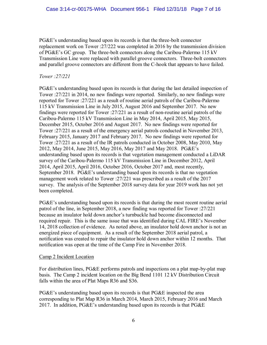PG&E's understanding based upon its records is that the three-bolt connector replacement work on Tower :27/222 was completed in 2016 by the transmission division of PG&E's GC group. The three-bolt connectors along the Caribou-Palermo 115 kV Transmission Line were replaced with parallel groove connectors. Three-bolt connectors and parallel groove connectors are different from the C-hook that appears to have failed.

#### *Tower :27/221*

PG&E's understanding based upon its records is that during the last detailed inspection of Tower :27/221 in 2014, no new findings were reported. Similarly, no new findings were reported for Tower :27/221 as a result of routine aerial patrols of the Caribou-Palermo 115 kV Transmission Line in July 2015, August 2016 and September 2017. No new findings were reported for Tower :27/221 as a result of non-routine aerial patrols of the Caribou-Palermo 115 kV Transmission Line in May 2014, April 2015, May 2015, December 2015, October 2016 and August 2017. No new findings were reported for Tower :27/221 as a result of the emergency aerial patrols conducted in November 2013, February 2015, January 2017 and February 2017. No new findings were reported for Tower :27/221 as a result of the IR patrols conducted in October 2008, May 2010, May 2012, May 2014, June 2015, May 2016, May 2017 and May 2018. PG&E's understanding based upon its records is that vegetation management conducted a LiDAR survey of the Caribou-Palermo 115 kV Transmission Line in December 2012, April 2014, April 2015, April 2016, October 2016, October 2017 and, most recently, September 2018. PG&E's understanding based upon its records is that no vegetation management work related to Tower :27/221 was prescribed as a result of the 2017 survey. The analysis of the September 2018 survey data for year 2019 work has not yet been completed.

PG&E's understanding based upon its records is that during the most recent routine aerial patrol of the line, in September 2018, a new finding was reported for Tower :27/221 because an insulator hold down anchor's turnbuckle had become disconnected and required repair. This is the same issue that was identified during CAL FIRE's November 14, 2018 collection of evidence. As noted above, an insulator hold down anchor is not an energized piece of equipment. As a result of the September 2018 aerial patrol, a notification was created to repair the insulator hold down anchor within 12 months. That notification was open at the time of the Camp Fire in November 2018.

#### Camp 2 Incident Location

For distribution lines, PG&E performs patrols and inspections on a plat map-by-plat map basis. The Camp 2 incident location on the Big Bend 1101 12 kV Distribution Circuit falls within the area of Plat Maps R36 and S36.

PG&E's understanding based upon its records is that PG&E inspected the area corresponding to Plat Map R36 in March 2014, March 2015, February 2016 and March 2017. In addition, PG&E's understanding based upon its records is that PG&E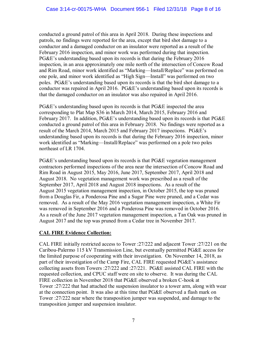conducted a ground patrol of this area in April 2018. During these inspections and patrols, no findings were reported for the area, except that bird shot damage to a conductor and a damaged conductor on an insulator were reported as a result of the February 2016 inspection, and minor work was performed during that inspection. PG&E's understanding based upon its records is that during the February 2016 inspection, in an area approximately one mile north of the intersection of Concow Road and Rim Road, minor work identified as "Marking—Install/Replace" was performed on one pole, and minor work identified as "High Sign—Install" was performed on two poles. PG&E's understanding based upon its records is that the bird shot damage to a conductor was repaired in April 2016. PG&E's understanding based upon its records is that the damaged conductor on an insulator was also repaired in April 2016.

PG&E's understanding based upon its records is that PG&E inspected the area corresponding to Plat Map S36 in March 2014, March 2015, February 2016 and February 2017. In addition, PG&E's understanding based upon its records is that PG&E conducted a ground patrol of this area in February 2018. No findings were reported as a result of the March 2014, March 2015 and February 2017 inspections. PG&E's understanding based upon its records is that during the February 2016 inspection, minor work identified as "Marking—Install/Replace" was performed on a pole two poles northeast of LR 1704.

PG&E's understanding based upon its records is that PG&E vegetation management contractors performed inspections of the area near the intersection of Concow Road and Rim Road in August 2015, May 2016, June 2017, September 2017, April 2018 and August 2018. No vegetation management work was prescribed as a result of the September 2017, April 2018 and August 2018 inspections. As a result of the August 2015 vegetation management inspection, in October 2015, the top was pruned from a Douglas Fir, a Ponderosa Pine and a Sugar Pine were pruned, and a Cedar was removed. As a result of the May 2016 vegetation management inspection, a White Fir was removed in September 2016 and a Ponderosa Pine was removed in October 2016. As a result of the June 2017 vegetation management inspection, a Tan Oak was pruned in August 2017 and the top was pruned from a Cedar tree in November 2017.

#### **CAL FIRE Evidence Collection:**

CAL FIRE initially restricted access to Tower :27/222 and adjacent Tower :27/221 on the Caribou-Palermo 115 kV Transmission Line, but eventually permitted PG&E access for the limited purpose of cooperating with their investigation. On November 14, 2018, as part of their investigation of the Camp Fire, CAL FIRE requested PG&E's assistance collecting assets from Towers :27/222 and :27/221. PG&E assisted CAL FIRE with the requested collection, and CPUC staff were on site to observe. It was during the CAL FIRE collection in November 2018 that PG&E observed a broken C-hook at Tower :27/222 that had attached the suspension insulator to a tower arm, along with wear at the connection point. It was also at this time that PG&E observed a flash mark on Tower :27/222 near where the transposition jumper was suspended, and damage to the transposition jumper and suspension insulator.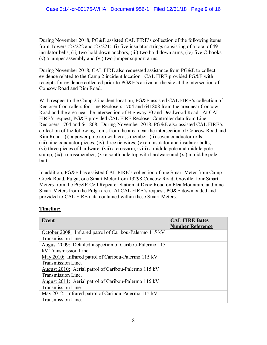During November 2018, PG&E assisted CAL FIRE's collection of the following items from Towers :27/222 and :27/221: (i) five insulator strings consisting of a total of 49 insulator bells, (ii) two hold down anchors, (iii) two hold down arms, (iv) five C-hooks, (v) a jumper assembly and (vi) two jumper support arms.

During November 2018, CAL FIRE also requested assistance from PG&E to collect evidence related to the Camp 2 incident location. CAL FIRE provided PG&E with receipts for evidence collected prior to PG&E's arrival at the site at the intersection of Concow Road and Rim Road.

With respect to the Camp 2 incident location, PG&E assisted CAL FIRE's collection of Recloser Controllers for Line Reclosers 1704 and 641808 from the area near Concow Road and the area near the intersection of Highway 70 and Deadwood Road. At CAL FIRE's request, PG&E provided CAL FIRE Recloser Controller data from Line Reclosers 1704 and 641808. During November 2018, PG&E also assisted CAL FIRE's collection of the following items from the area near the intersection of Concow Road and Rim Road: (i) a power pole top with cross member, (ii) seven conductor rolls,  $(iii)$  nine conductor pieces,  $(iv)$  three tie wires,  $(v)$  an insulator and insulator bolts, (vi) three pieces of hardware, (vii) a crossarm, (viii) a middle pole and middle pole stump, (ix) a crossmember, (x) a south pole top with hardware and (xi) a middle pole butt.

In addition, PG&E has assisted CAL FIRE's collection of one Smart Meter from Camp Creek Road, Pulga, one Smart Meter from 13298 Concow Road, Oroville, four Smart Meters from the PG&E Cell Repeater Station at Dixie Road on Flea Mountain, and nine Smart Meters from the Pulga area. At CAL FIRE's request, PG&E downloaded and provided to CAL FIRE data contained within these Smart Meters.

#### **Timeline:**

| <b>Event</b>                                                   | <b>CAL FIRE Bates</b><br><b>Number Reference</b> |
|----------------------------------------------------------------|--------------------------------------------------|
| October 2008: Infrared patrol of Caribou-Palermo 115 kV        |                                                  |
| Transmission Line.                                             |                                                  |
| <b>August 2009:</b> Detailed inspection of Caribou-Palermo 115 |                                                  |
| kV Transmission Line.                                          |                                                  |
| May 2010: Infrared patrol of Caribou-Palermo 115 kV            |                                                  |
| Transmission Line.                                             |                                                  |
| August 2010: Aerial patrol of Caribou-Palermo 115 kV           |                                                  |
| Transmission Line.                                             |                                                  |
| August 2011: Aerial patrol of Caribou-Palermo 115 kV           |                                                  |
| Transmission Line.                                             |                                                  |
| May 2012: Infrared patrol of Caribou-Palermo 115 kV            |                                                  |
| Transmission Line.                                             |                                                  |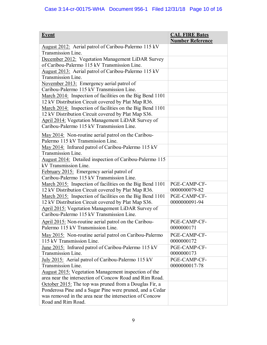| <b>Event</b>                                                                                                           | <b>CAL FIRE Bates</b><br><b>Number Reference</b> |
|------------------------------------------------------------------------------------------------------------------------|--------------------------------------------------|
| August 2012: Aerial patrol of Caribou-Palermo 115 kV<br>Transmission Line.                                             |                                                  |
| December 2012: Vegetation Management LiDAR Survey<br>of Caribou-Palermo 115 kV Transmission Line.                      |                                                  |
| August 2013: Aerial patrol of Caribou-Palermo 115 kV<br>Transmission Line.                                             |                                                  |
| November 2013: Emergency aerial patrol of<br>Caribou-Palermo 115 kV Transmission Line.                                 |                                                  |
| March 2014: Inspection of facilities on the Big Bend 1101<br>12 kV Distribution Circuit covered by Plat Map R36.       |                                                  |
| March 2014: Inspection of facilities on the Big Bend 1101<br>12 kV Distribution Circuit covered by Plat Map S36.       |                                                  |
| April 2014: Vegetation Management LiDAR Survey of<br>Caribou-Palermo 115 kV Transmission Line.                         |                                                  |
| May 2014: Non-routine aerial patrol on the Caribou-<br>Palermo 115 kV Transmission Line.                               |                                                  |
| May 2014: Infrared patrol of Caribou-Palermo 115 kV<br>Transmission Line.                                              |                                                  |
| August 2014: Detailed inspection of Caribou-Palermo 115<br>kV Transmission Line.                                       |                                                  |
| February 2015: Emergency aerial patrol of<br>Caribou-Palermo 115 kV Transmission Line.                                 |                                                  |
| March 2015: Inspection of facilities on the Big Bend 1101<br>12 kV Distribution Circuit covered by Plat Map R36.       | PGE-CAMP-CF-<br>0000000079-82                    |
| March 2015: Inspection of facilities on the Big Bend 1101<br>12 kV Distribution Circuit covered by Plat Map S36.       | PGE-CAMP-CF-<br>0000000091-94                    |
| April 2015: Vegetation Management LiDAR Survey of<br>Caribou-Palermo 115 kV Transmission Line.                         |                                                  |
| April 2015: Non-routine aerial patrol on the Caribou-<br>Palermo 115 kV Transmission Line.                             | PGE-CAMP-CF-<br>0000000171                       |
| May 2015: Non-routine aerial patrol on Caribou-Palermo<br>115 kV Transmission Line.                                    | PGE-CAMP-CF-<br>0000000172                       |
| June 2015: Infrared patrol of Caribou-Palermo 115 kV<br>Transmission Line.                                             | PGE-CAMP-CF-<br>0000000173                       |
| July 2015: Aerial patrol of Caribou-Palermo 115 kV<br>Transmission Line.                                               | PGE-CAMP-CF-<br>0000000017-78                    |
| <b>August 2015:</b> Vegetation Management inspection of the<br>area near the intersection of Concow Road and Rim Road. |                                                  |
| October 2015: The top was pruned from a Douglas Fir, a<br>Ponderosa Pine and a Sugar Pine were pruned, and a Cedar     |                                                  |
| was removed in the area near the intersection of Concow<br>Road and Rim Road.                                          |                                                  |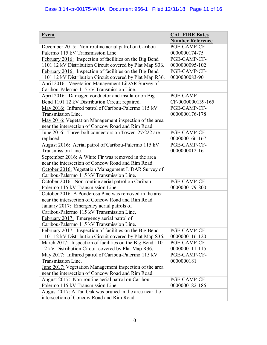|                                                                                                               | <b>CAL FIRE Bates</b>   |
|---------------------------------------------------------------------------------------------------------------|-------------------------|
| <b>Event</b>                                                                                                  | <b>Number Reference</b> |
| December 2015: Non-routine aerial patrol on Caribou-                                                          | PGE-CAMP-CF-            |
| Palermo 115 kV Transmission Line.                                                                             | 0000000174-75           |
| February 2016: Inspection of facilities on the Big Bend                                                       | PGE-CAMP-CF-            |
| 1101 12 kV Distribution Circuit covered by Plat Map S36.                                                      | 0000000095-102          |
| February 2016: Inspection of facilities on the Big Bend                                                       | PGE-CAMP-CF-            |
| 1101 12 kV Distribution Circuit covered by Plat Map R36.                                                      | 0000000083-90           |
| April 2016: Vegetation Management LiDAR Survey of                                                             |                         |
| Caribou-Palermo 115 kV Transmission Line.                                                                     |                         |
| April 2016: Damaged conductor and insulator on Big                                                            | PGE-CAMP-               |
| Bend 1101 12 kV Distribution Circuit repaired.                                                                | CF-0000000139-165       |
| May 2016: Infrared patrol of Caribou-Palermo 115 kV                                                           | PGE-CAMP-CF-            |
| Transmission Line.                                                                                            | 0000000176-178          |
| May 2016: Vegetation Management inspection of the area                                                        |                         |
| near the intersection of Concow Road and Rim Road.                                                            |                         |
| June 2016: Three-bolt connectors on Tower :27/222 are                                                         | PGE-CAMP-CF-            |
| replaced.                                                                                                     | 0000000166-167          |
| August 2016: Aerial patrol of Caribou-Palermo 115 kV                                                          | PGE-CAMP-CF-            |
| Transmission Line.                                                                                            | 0000000012-16           |
| September 2016: A White Fir was removed in the area                                                           |                         |
| near the intersection of Concow Road and Rim Road.                                                            |                         |
| October 2016: Vegetation Management LiDAR Survey of                                                           |                         |
| Caribou-Palermo 115 kV Transmission Line.                                                                     |                         |
| October 2016: Non-routine aerial patrol on Caribou-                                                           | PGE-CAMP-CF-            |
| Palermo 115 kV Transmission Line.                                                                             | 0000000179-800          |
| October 2016: A Ponderosa Pine was removed in the area                                                        |                         |
| near the intersection of Concow Road and Rim Road.                                                            |                         |
| January 2017: Emergency aerial patrols of                                                                     |                         |
| Caribou-Palermo 115 kV Transmission Line.                                                                     |                         |
| February 2017: Emergency aerial patrol of                                                                     |                         |
| Caribou-Palermo 115 kV Transmission Line                                                                      |                         |
| February 2017: Inspection of facilities on the Big Bend                                                       | PGE-CAMP-CF-            |
| 1101 12 kV Distribution Circuit covered by Plat Map S36.                                                      | 0000000116-120          |
| March 2017: Inspection of facilities on the Big Bend 1101                                                     | PGE-CAMP-CF-            |
| 12 kV Distribution Circuit covered by Plat Map R36.                                                           | 0000000111-115          |
| May 2017: Infrared patrol of Caribou-Palermo 115 kV                                                           | PGE-CAMP-CF-            |
| Transmission Line.                                                                                            | 0000000181              |
| June 2017: Vegetation Management inspection of the area<br>near the intersection of Concow Road and Rim Road. |                         |
|                                                                                                               | PGE-CAMP-CF-            |
| August 2017: Non-routine aerial patrol on Caribou-<br>Palermo 115 kV Transmission Line.                       | 0000000182-186          |
|                                                                                                               |                         |
| August 2017: A Tan Oak was pruned in the area near the<br>intersection of Concow Road and Rim Road.           |                         |
|                                                                                                               |                         |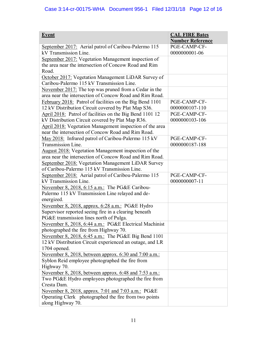| <b>Event</b>                                                                                     | <b>CAL FIRE Bates</b><br><b>Number Reference</b> |
|--------------------------------------------------------------------------------------------------|--------------------------------------------------|
| September 2017: Aerial patrol of Caribou-Palermo 115                                             | PGE-CAMP-CF-                                     |
| kV Transmission Line.                                                                            | 0000000001-06                                    |
| September 2017: Vegetation Management inspection of                                              |                                                  |
| the area near the intersection of Concow Road and Rim                                            |                                                  |
| Road.                                                                                            |                                                  |
| October 2017: Vegetation Management LiDAR Survey of<br>Caribou-Palermo 115 kV Transmission Line. |                                                  |
| November 2017: The top was pruned from a Cedar in the                                            |                                                  |
| area near the intersection of Concow Road and Rim Road.                                          |                                                  |
| February 2018: Patrol of facilities on the Big Bend 1101                                         | PGE-CAMP-CF-                                     |
| 12 kV Distribution Circuit covered by Plat Map S36.                                              | 0000000107-110                                   |
| April 2018: Patrol of facilities on the Big Bend 1101 12                                         | PGE-CAMP-CF-                                     |
| kV Distribution Circuit covered by Plat Map R36.                                                 | 0000000103-106                                   |
| April 2018: Vegetation Management inspection of the area                                         |                                                  |
| near the intersection of Concow Road and Rim Road.                                               |                                                  |
| May 2018: Infrared patrol of Caribou-Palermo 115 kV                                              | PGE-CAMP-CF-                                     |
| Transmission Line.                                                                               | 0000000187-188                                   |
| August 2018: Vegetation Management inspection of the                                             |                                                  |
| area near the intersection of Concow Road and Rim Road.                                          |                                                  |
| September 2018: Vegetation Management LiDAR Survey                                               |                                                  |
| of Caribou-Palermo 115 kV Transmission Line.                                                     |                                                  |
| September 2018: Aerial patrol of Caribou-Palermo 115                                             | PGE-CAMP-CF-                                     |
| kV Transmission Line.                                                                            | 0000000007-11                                    |
| November 8, 2018, 6:15 a.m.: The PG&E Caribou-                                                   |                                                  |
| Palermo 115 kV Transmission Line relayed and de-                                                 |                                                  |
| energized.                                                                                       |                                                  |
| November 8, 2018, approx. 6:28 a.m.: PG&E Hydro                                                  |                                                  |
| Supervisor reported seeing fire in a clearing beneath                                            |                                                  |
| PG&E transmission lines north of Pulga.                                                          |                                                  |
| November 8, 2018, 6:44 a.m.: PG&E Electrical Machinist                                           |                                                  |
| photographed the fire from Highway 70.                                                           |                                                  |
| November 8, 2018, 6:45 a.m.: The PG&E Big Bend 1101                                              |                                                  |
| 12 kV Distribution Circuit experienced an outage, and LR                                         |                                                  |
| 1704 opened.                                                                                     |                                                  |
| November 8, 2018, between approx. 6:30 and 7:00 a.m.:                                            |                                                  |
| Syblon Reid employee photographed the fire from                                                  |                                                  |
| Highway 70.                                                                                      |                                                  |
| <u>November 8, 2018, between approx. 6:48 and 7:53 a.m.:</u>                                     |                                                  |
| Two PG&E Hydro employees photographed the fire from                                              |                                                  |
| Cresta Dam.                                                                                      |                                                  |
| November 8, 2018, approx. 7:01 and 7:03 a.m.: PG&E                                               |                                                  |
| Operating Clerk photographed the fire from two points                                            |                                                  |
| along Highway 70.                                                                                |                                                  |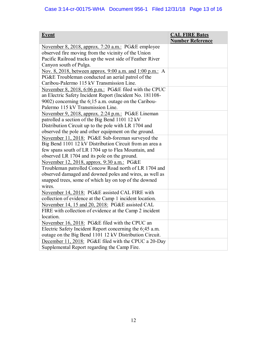| <b>Event</b>                                              | <b>CAL FIRE Bates</b><br><b>Number Reference</b> |
|-----------------------------------------------------------|--------------------------------------------------|
| November 8, 2018, approx. 7:20 a.m.: PG&E employee        |                                                  |
| observed fire moving from the vicinity of the Union       |                                                  |
| Pacific Railroad tracks up the west side of Feather River |                                                  |
| Canyon south of Pulga.                                    |                                                  |
| Nov. 8, 2018, between approx. 9:00 a.m. and 1:00 p.m.: A  |                                                  |
| PG&E Troubleman conducted an aerial patrol of the         |                                                  |
| Caribou-Palermo 115 kV Transmission Line.                 |                                                  |
| November 8, 2018, 6:06 p.m.: PG&E filed with the CPUC     |                                                  |
| an Electric Safety Incident Report (Incident No. 181108-  |                                                  |
| 9002) concerning the 6:15 a.m. outage on the Caribou-     |                                                  |
| Palermo 115 kV Transmission Line.                         |                                                  |
| November 9, 2018, approx. 2:24 p.m.: PG&E Lineman         |                                                  |
| patrolled a section of the Big Bend 1101 12 kV            |                                                  |
| Distribution Circuit up to the pole with LR 1704 and      |                                                  |
| observed the pole and other equipment on the ground.      |                                                  |
| November 11, 2018: PG&E Sub-foreman surveyed the          |                                                  |
| Big Bend 1101 12 kV Distribution Circuit from an area a   |                                                  |
| few spans south of LR 1704 up to Flea Mountain, and       |                                                  |
| observed LR 1704 and its pole on the ground.              |                                                  |
| November 12, 2018, approx. 9:30 a.m.: PG&E                |                                                  |
| Troubleman patrolled Concow Road north of LR 1704 and     |                                                  |
| observed damaged and downed poles and wires, as well as   |                                                  |
| snapped trees, some of which lay on top of the downed     |                                                  |
| wires.                                                    |                                                  |
| November 14, 2018: PG&E assisted CAL FIRE with            |                                                  |
| collection of evidence at the Camp 1 incident location.   |                                                  |
| November 14, 15 and 20, 2018: PG&E assisted CAL           |                                                  |
| FIRE with collection of evidence at the Camp 2 incident   |                                                  |
| location.                                                 |                                                  |
| November 16, 2018: PG&E filed with the CPUC an            |                                                  |
| Electric Safety Incident Report concerning the 6:45 a.m.  |                                                  |
| outage on the Big Bend 1101 12 kV Distribution Circuit.   |                                                  |
| December 11, 2018: PG&E filed with the CPUC a 20-Day      |                                                  |
| Supplemental Report regarding the Camp Fire.              |                                                  |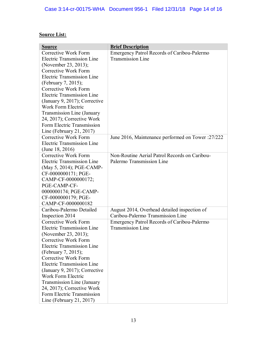## **Source List:**

| <b>Source</b>                                | <b>Brief Description</b>                           |
|----------------------------------------------|----------------------------------------------------|
| Corrective Work Form                         | <b>Emergency Patrol Records of Caribou-Palermo</b> |
| <b>Electric Transmission Line</b>            | <b>Transmission Line</b>                           |
| (November 23, 2013);                         |                                                    |
| Corrective Work Form                         |                                                    |
| <b>Electric Transmission Line</b>            |                                                    |
| (February 7, 2015);                          |                                                    |
| Corrective Work Form                         |                                                    |
| <b>Electric Transmission Line</b>            |                                                    |
| (January 9, 2017); Corrective                |                                                    |
| <b>Work Form Electric</b>                    |                                                    |
| Transmission Line (January                   |                                                    |
| 24, 2017); Corrective Work                   |                                                    |
| Form Electric Transmission                   |                                                    |
| Line (February 21, 2017)                     |                                                    |
| Corrective Work Form                         | June 2016, Maintenance performed on Tower :27/222  |
| <b>Electric Transmission Line</b>            |                                                    |
| (June 18, 2016)                              |                                                    |
| Corrective Work Form                         | Non-Routine Aerial Patrol Records on Caribou-      |
| <b>Electric Transmission Line</b>            | Palermo Transmission Line                          |
| (May 5, 2014); PGE-CAMP-                     |                                                    |
| CF-0000000171; PGE-                          |                                                    |
| CAMP-CF-0000000172;                          |                                                    |
| PGE-CAMP-CF-                                 |                                                    |
| 0000000174; PGE-CAMP-<br>CF-0000000179; PGE- |                                                    |
| CAMP-CF-0000000182                           |                                                    |
| Caribou-Palermo Detailed                     | August 2014, Overhead detailed inspection of       |
| Inspection 2014                              | Caribou-Palermo Transmission Line                  |
| Corrective Work Form                         | Emergency Patrol Records of Caribou-Palermo        |
| Electric Transmission Line                   | <b>Transmission Line</b>                           |
| (November 23, 2013);                         |                                                    |
| Corrective Work Form                         |                                                    |
| <b>Electric Transmission Line</b>            |                                                    |
| (February 7, 2015);                          |                                                    |
| Corrective Work Form                         |                                                    |
| <b>Electric Transmission Line</b>            |                                                    |
| (January 9, 2017); Corrective                |                                                    |
| Work Form Electric                           |                                                    |
| Transmission Line (January                   |                                                    |
| 24, 2017); Corrective Work                   |                                                    |
| Form Electric Transmission                   |                                                    |
| Line (February 21, 2017)                     |                                                    |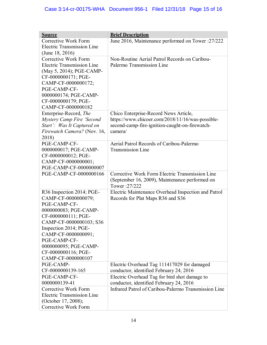| <u>Source</u>                     | <b>Brief Description</b>                             |
|-----------------------------------|------------------------------------------------------|
| Corrective Work Form              | June 2016, Maintenance performed on Tower :27/222    |
| <b>Electric Transmission Line</b> |                                                      |
| (June $18, 2016$ )                |                                                      |
| Corrective Work Form              | Non-Routine Aerial Patrol Records on Caribou-        |
| <b>Electric Transmission Line</b> | Palermo Transmission Line                            |
| (May 5, 2014); PGE-CAMP-          |                                                      |
| CF-0000000171; PGE-               |                                                      |
| CAMP-CF-0000000172;               |                                                      |
| PGE-CAMP-CF-                      |                                                      |
| 0000000174; PGE-CAMP-             |                                                      |
| CF-0000000179; PGE-               |                                                      |
| CAMP-CF-0000000182                |                                                      |
| Enterprise-Record, The            | Chico Enterprise-Record News Article,                |
| Mystery Camp Fire 'Second         | https://www.chicoer.com/2018/11/16/was-possible-     |
| Start': Was It Captured on        | second-camp-fire-ignition-caught-on-firewatch-       |
| Firewatch Camera? (Nov. 16,       | camera/                                              |
| 2018)                             |                                                      |
| PGE-CAMP-CF-                      | Aerial Patrol Records of Caribou-Palermo             |
| 0000000017; PGE-CAMP-             | <b>Transmission Line</b>                             |
| CF-0000000012; PGE-               |                                                      |
| CAMP-CF-0000000001;               |                                                      |
| PGE-CAMP-CF-0000000007            |                                                      |
| PGE-CAMP-CF-0000000166            | Corrective Work Form Electric Transmission Line      |
|                                   | (September 16, 2009), Maintenance performed on       |
|                                   | Tower: 27/222                                        |
| R36 Inspection 2014; PGE-         | Electric Maintenance Overhead Inspection and Patrol  |
| CAMP-CF-0000000079;               | Records for Plat Maps R36 and S36                    |
| PGE-CAMP-CF-                      |                                                      |
| 0000000083; PGE-CAMP-             |                                                      |
| CF-0000000111; PGE-               |                                                      |
| CAMP-CF-0000000103; S36           |                                                      |
| Inspection 2014; PGE-             |                                                      |
| CAMP-CF-0000000091;               |                                                      |
| PGE-CAMP-CF-                      |                                                      |
| 0000000095; PGE-CAMP-             |                                                      |
| CF-0000000116; PGE-               |                                                      |
| CAMP-CF-0000000107                |                                                      |
| PGE-CAMP-                         |                                                      |
|                                   | Electric Overhead Tag 111417029 for damaged          |
| CF-0000000139-165                 | conductor, identified February 24, 2016              |
| PGE-CAMP-CF-                      | Electric Overhead Tag for bird shot damage to        |
| 0000000139-41                     | conductor, identified February 24, 2016              |
| Corrective Work Form              | Infrared Patrol of Caribou-Palermo Transmission Line |
| <b>Electric Transmission Line</b> |                                                      |
| (October 17, 2008);               |                                                      |
| Corrective Work Form              |                                                      |